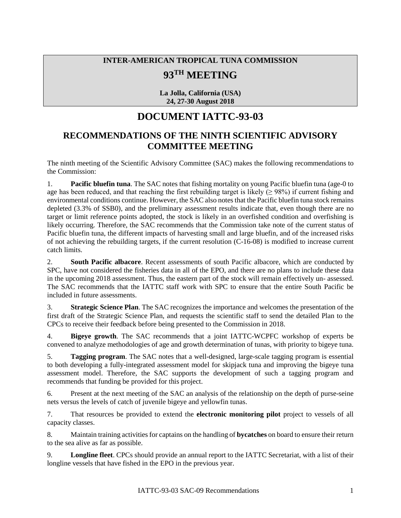## **INTER-AMERICAN TROPICAL TUNA COMMISSION 93TH MEETING**

**La Jolla, California (USA) 24, 27-30 August 2018**

## **DOCUMENT IATTC-93-03**

## **RECOMMENDATIONS OF THE NINTH SCIENTIFIC ADVISORY COMMITTEE MEETING**

The ninth meeting of the Scientific Advisory Committee (SAC) makes the following recommendations to the Commission:

1. **Pacific bluefin tuna**. The SAC notes that fishing mortality on young Pacific bluefin tuna (age-0 to age has been reduced, and that reaching the first rebuilding target is likely ( $> 98\%$ ) if current fishing and environmental conditions continue. However, the SAC also notes that the Pacific bluefin tuna stock remains depleted (3.3% of SSB0), and the preliminary assessment results indicate that, even though there are no target or limit reference points adopted, the stock is likely in an overfished condition and overfishing is likely occurring. Therefore, the SAC recommends that the Commission take note of the current status of Pacific bluefin tuna, the different impacts of harvesting small and large bluefin, and of the increased risks of not achieving the rebuilding targets, if the current resolution (C-16-08) is modified to increase current catch limits.

2. **South Pacific albacore**. Recent assessments of south Pacific albacore, which are conducted by SPC, have not considered the fisheries data in all of the EPO, and there are no plans to include these data in the upcoming 2018 assessment. Thus, the eastern part of the stock will remain effectively un- assessed. The SAC recommends that the IATTC staff work with SPC to ensure that the entire South Pacific be included in future assessments.

3. **Strategic Science Plan**. The SAC recognizes the importance and welcomes the presentation of the first draft of the Strategic Science Plan, and requests the scientific staff to send the detailed Plan to the CPCs to receive their feedback before being presented to the Commission in 2018.

4. **Bigeye growth**. The SAC recommends that a joint IATTC-WCPFC workshop of experts be convened to analyze methodologies of age and growth determination of tunas, with priority to bigeye tuna.

5. **Tagging program**. The SAC notes that a well-designed, large-scale tagging program is essential to both developing a fully-integrated assessment model for skipjack tuna and improving the bigeye tuna assessment model. Therefore, the SAC supports the development of such a tagging program and recommends that funding be provided for this project.

6. Present at the next meeting of the SAC an analysis of the relationship on the depth of purse-seine nets versus the levels of catch of juvenile bigeye and yellowfin tunas.

7. That resources be provided to extend the **electronic monitoring pilot** project to vessels of all capacity classes.

8. Maintain training activities for captains on the handling of **bycatches** on board to ensure their return to the sea alive as far as possible.

9. **Longline fleet**. CPCs should provide an annual report to the IATTC Secretariat, with a list of their longline vessels that have fished in the EPO in the previous year.